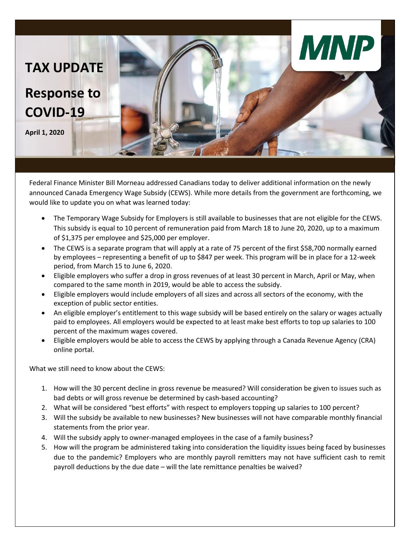

Federal Finance Minister Bill Morneau addressed Canadians today to deliver additional information on the newly announced Canada Emergency Wage Subsidy (CEWS). While more details from the government are forthcoming, we would like to update you on what was learned today:

- The Temporary Wage Subsidy for Employers is still available to businesses that are not eligible for the CEWS. This subsidy is equal to 10 percent of remuneration paid from March 18 to June 20, 2020, up to a maximum of \$1,375 per employee and \$25,000 per employer.
- The CEWS is a separate program that will apply at a rate of 75 percent of the first \$58,700 normally earned by employees – representing a benefit of up to \$847 per week. This program will be in place for a 12-week period, from March 15 to June 6, 2020.
- Eligible employers who suffer a drop in gross revenues of at least 30 percent in March, April or May, when compared to the same month in 2019, would be able to access the subsidy.
- Eligible employers would include employers of all sizes and across all sectors of the economy, with the exception of public sector entities.
- An eligible employer's entitlement to this wage subsidy will be based entirely on the salary or wages actually paid to employees. All employers would be expected to at least make best efforts to top up salaries to 100 percent of the maximum wages covered.
- Eligible employers would be able to access the CEWS by applying through a Canada Revenue Agency (CRA) online portal.

What we still need to know about the CEWS:

- 1. How will the 30 percent decline in gross revenue be measured? Will consideration be given to issues such as bad debts or will gross revenue be determined by cash-based accounting?
- 2. What will be considered "best efforts" with respect to employers topping up salaries to 100 percent?
- 3. Will the subsidy be available to new businesses? New businesses will not have comparable monthly financial statements from the prior year.
- 4. Will the subsidy apply to owner-managed employees in the case of a family business?
- 5. How will the program be administered taking into consideration the liquidity issues being faced by businesses due to the pandemic? Employers who are monthly payroll remitters may not have sufficient cash to remit payroll deductions by the due date – will the late remittance penalties be waived?